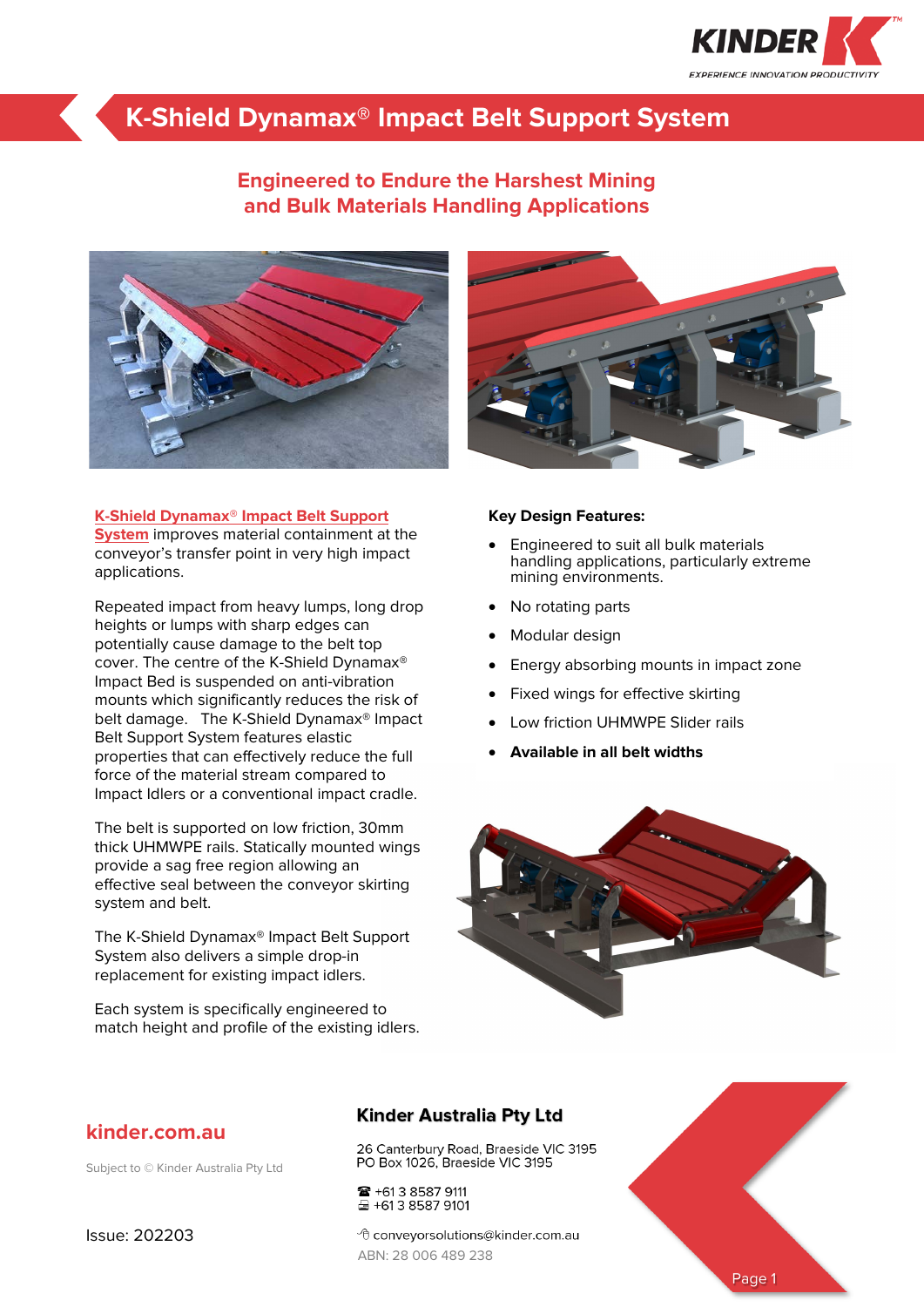

## **K-Shield Dynamax® Impact Belt Support System**

## **Engineered to Endure the Harshest Mining and Bulk Materials Handling Applications**





**[System](https://kinder.com.au/products/k-shield-dynamax-impact-belt-support-system/)** improves material containment at the conveyor's transfer point in very high impact applications.

Repeated impact from heavy lumps, long drop heights or lumps with sharp edges can potentially cause damage to the belt top cover. The centre of the K-Shield Dynamax® Impact Bed is suspended on anti-vibration mounts which significantly reduces the risk of belt damage. The K-Shield Dynamax® Impact Belt Support System features elastic properties that can effectively reduce the full force of the material stream compared to Impact Idlers or a conventional impact cradle.

The belt is supported on low friction, 30mm thick UHMWPE rails. Statically mounted wings provide a sag free region allowing an effective seal between the conveyor skirting system and belt.

The K-Shield Dynamax® Impact Belt Support System also delivers a simple drop-in replacement for existing impact idlers.

Each system is specifically engineered to match height and profile of the existing idlers.



#### **Key Design Features:**

- Engineered to suit all bulk materials handling applications, particularly extreme mining environments.
- No rotating parts
- Modular design
- Energy absorbing mounts in impact zone
- Fixed wings for effective skirting
- Low friction UHMWPE Slider rails
- **Available in all belt widths**



### **kinder.com.au**

Subject to © Kinder Australia Pty Ltd

### **Kinder Australia Pty Ltd**

26 Canterbury Road, Braeside VIC 3195 PO Box 1026, Braeside VIC 3195

■ +61 3 8587 9111 ₩ +613 8587 9101

<sup></sub><sup>d</sup> conveyorsolutions@kinder.com.au</sup> ABN: 28 006 489 238



Issue: 202203